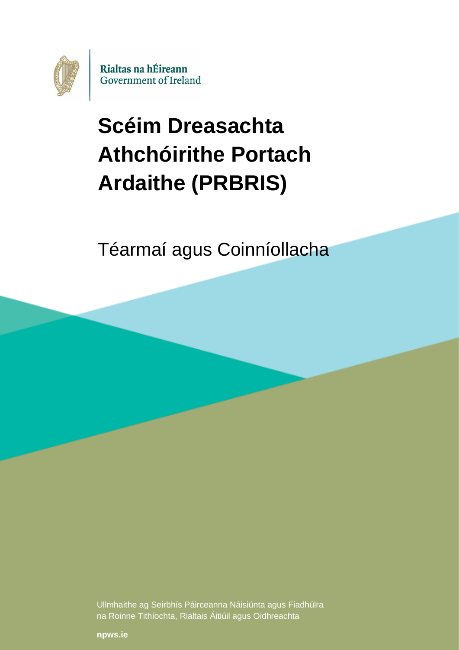

# **Scéim Dreasachta Athchóirithe Portach Ardaithe (PRBRIS)**

Téarmaí agus Coinníollacha

Ullmhaithe ag Seirbhís Páirceanna Náisiúnta agus Fiadhúlra na Roinne Tithíochta, Rialtais Áitiúil agus Oidhreachta

**[npws.ie](https://www.npws.ie/)**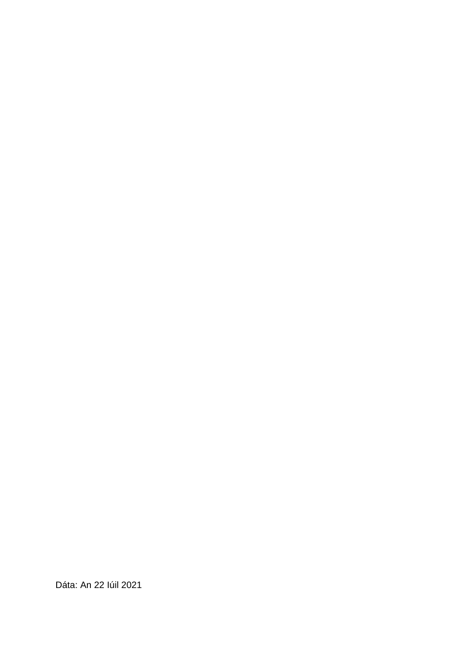Dáta: An 22 Iúil 2021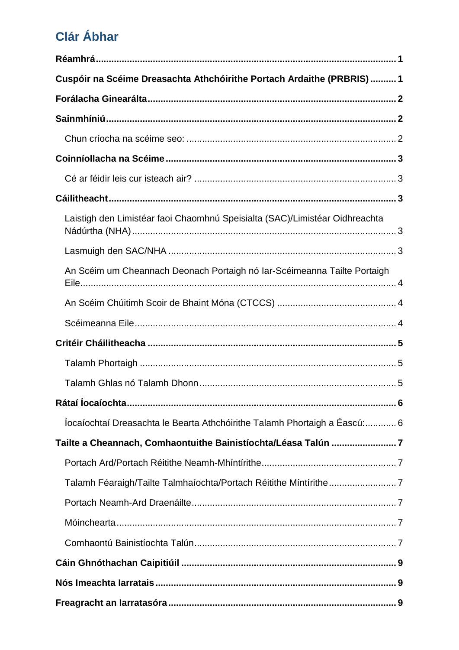# Clár Ábhar

| Cuspóir na Scéime Dreasachta Athchóirithe Portach Ardaithe (PRBRIS)1        |  |
|-----------------------------------------------------------------------------|--|
|                                                                             |  |
|                                                                             |  |
|                                                                             |  |
|                                                                             |  |
|                                                                             |  |
|                                                                             |  |
| Laistigh den Limistéar faoi Chaomhnú Speisialta (SAC)/Limistéar Oidhreachta |  |
|                                                                             |  |
| An Scéim um Cheannach Deonach Portaigh nó Iar-Scéimeanna Tailte Portaigh    |  |
|                                                                             |  |
|                                                                             |  |
|                                                                             |  |
|                                                                             |  |
|                                                                             |  |
|                                                                             |  |
| locaíochtaí Dreasachta le Bearta Athchóirithe Talamh Phortaigh a Éascú: 6   |  |
| Tailte a Cheannach, Comhaontuithe Bainistíochta/Léasa Talún 7               |  |
|                                                                             |  |
|                                                                             |  |
|                                                                             |  |
|                                                                             |  |
|                                                                             |  |
|                                                                             |  |
|                                                                             |  |
|                                                                             |  |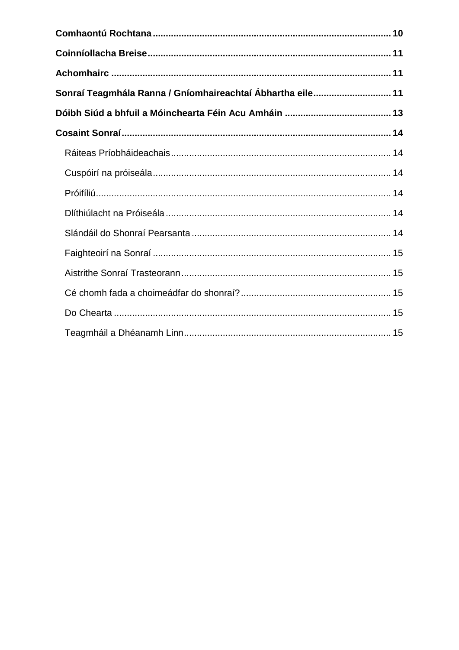| Sonraí Teagmhála Ranna / Gníomhaireachtaí Ábhartha eile 11 |  |
|------------------------------------------------------------|--|
|                                                            |  |
|                                                            |  |
|                                                            |  |
|                                                            |  |
|                                                            |  |
|                                                            |  |
|                                                            |  |
|                                                            |  |
|                                                            |  |
|                                                            |  |
|                                                            |  |
|                                                            |  |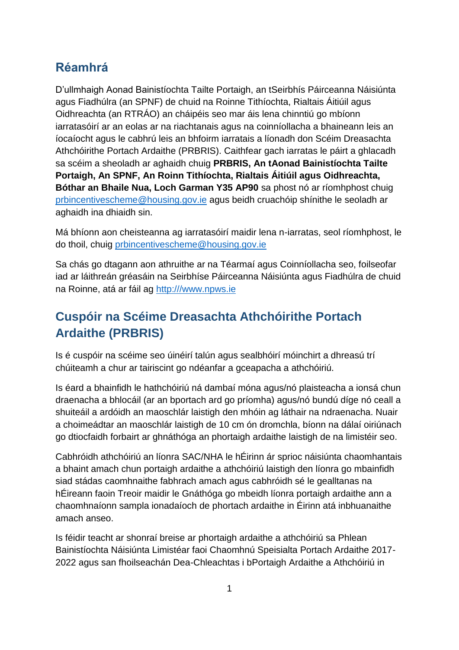# <span id="page-4-0"></span>**Réamhrá**

D'ullmhaigh Aonad Bainistíochta Tailte Portaigh, an tSeirbhís Páirceanna Náisiúnta agus Fiadhúlra (an SPNF) de chuid na Roinne Tithíochta, Rialtais Áitiúil agus Oidhreachta (an RTRÁO) an cháipéis seo mar áis lena chinntiú go mbíonn iarratasóirí ar an eolas ar na riachtanais agus na coinníollacha a bhaineann leis an íocaíocht agus le cabhrú leis an bhfoirm iarratais a líonadh don Scéim Dreasachta Athchóirithe Portach Ardaithe (PRBRIS). Caithfear gach iarratas le páirt a ghlacadh sa scéim a sheoladh ar aghaidh chuig **PRBRIS, An tAonad Bainistíochta Tailte Portaigh, An SPNF, An Roinn Tithíochta, Rialtais Áitiúil agus Oidhreachta, Bóthar an Bhaile Nua, Loch Garman Y35 AP90** sa phost nó ar ríomhphost chuig [prbincentivescheme@housing.gov.ie](mailto:prbincentivescheme@housing.gov.ie) agus beidh cruachóip shínithe le seoladh ar aghaidh ina dhiaidh sin.

Má bhíonn aon cheisteanna ag iarratasóirí maidir lena n-iarratas, seol ríomhphost, le do thoil, chuig [prbincentivescheme@housing.gov.ie](mailto:peatlandsmanagement@housing.gov.ie)

Sa chás go dtagann aon athruithe ar na Téarmaí agus Coinníollacha seo, foilseofar iad ar láithreán gréasáin na Seirbhíse Páirceanna Náisiúnta agus Fiadhúlra de chuid na Roinne, atá ar fáil ag [http:///www.npws.ie](http://www.npws.ie)

# <span id="page-4-1"></span>**Cuspóir na Scéime Dreasachta Athchóirithe Portach Ardaithe (PRBRIS)**

Is é cuspóir na scéime seo úinéirí talún agus sealbhóirí móinchirt a dhreasú trí chúiteamh a chur ar tairiscint go ndéanfar a gceapacha a athchóiriú.

Is éard a bhainfidh le hathchóiriú ná dambaí móna agus/nó plaisteacha a ionsá chun draenacha a bhlocáil (ar an bportach ard go príomha) agus/nó bundú díge nó ceall a shuiteáil a ardóidh an maoschlár laistigh den mhóin ag láthair na ndraenacha. Nuair a choimeádtar an maoschlár laistigh de 10 cm ón dromchla, bíonn na dálaí oiriúnach go dtiocfaidh forbairt ar ghnáthóga an phortaigh ardaithe laistigh de na limistéir seo.

Cabhróidh athchóiriú an líonra SAC/NHA le hÉirinn ár sprioc náisiúnta chaomhantais a bhaint amach chun portaigh ardaithe a athchóiriú laistigh den líonra go mbainfidh siad stádas caomhnaithe fabhrach amach agus cabhróidh sé le gealltanas na hÉireann faoin Treoir maidir le Gnáthóga go mbeidh líonra portaigh ardaithe ann a chaomhnaíonn sampla ionadaíoch de phortach ardaithe in Éirinn atá inbhuanaithe amach anseo.

Is féidir teacht ar shonraí breise ar phortaigh ardaithe a athchóiriú sa Phlean Bainistíochta Náisiúnta Limistéar faoi Chaomhnú Speisialta Portach Ardaithe 2017- 2022 agus san fhoilseachán Dea-Chleachtas i bPortaigh Ardaithe a Athchóiriú in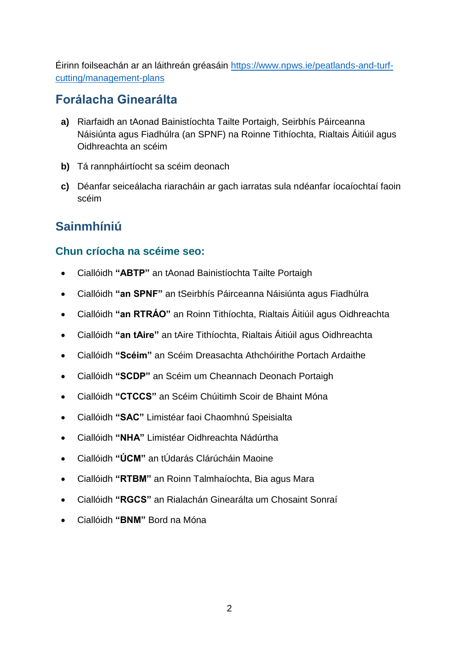Éirinn foilseachán ar an láithreán gréasáin [https://www.npws.ie/peatlands-and-turf](https://www.npws.ie/peatlands-and-turf-cutting/management-plans)[cutting/management-plans](https://www.npws.ie/peatlands-and-turf-cutting/management-plans)

## <span id="page-5-0"></span>**Forálacha Ginearálta**

- **a)** Riarfaidh an tAonad Bainistíochta Tailte Portaigh, Seirbhís Páirceanna Náisiúnta agus Fiadhúlra (an SPNF) na Roinne Tithíochta, Rialtais Áitiúil agus Oidhreachta an scéim
- **b)** Tá rannpháirtíocht sa scéim deonach
- **c)** Déanfar seiceálacha riaracháin ar gach iarratas sula ndéanfar íocaíochtaí faoin scéim

# <span id="page-5-1"></span>**Sainmhíniú**

### <span id="page-5-2"></span>**Chun críocha na scéime seo:**

- Ciallóidh **"ABTP"** an tAonad Bainistíochta Tailte Portaigh
- Ciallóidh **"an SPNF"** an tSeirbhís Páirceanna Náisiúnta agus Fiadhúlra
- Ciallóidh **"an RTRÁO"** an Roinn Tithíochta, Rialtais Áitiúil agus Oidhreachta
- Ciallóidh **"an tAire"** an tAire Tithíochta, Rialtais Áitiúil agus Oidhreachta
- Ciallóidh **"Scéim"** an Scéim Dreasachta Athchóirithe Portach Ardaithe
- Ciallóidh **"SCDP"** an Scéim um Cheannach Deonach Portaigh
- Ciallóidh **"CTCCS"** an Scéim Chúitimh Scoir de Bhaint Móna
- Ciallóidh **"SAC"** Limistéar faoi Chaomhnú Speisialta
- Ciallóidh **"NHA"** Limistéar Oidhreachta Nádúrtha
- Ciallóidh **"ÚCM"** an tÚdarás Clárúcháin Maoine
- Ciallóidh **"RTBM"** an Roinn Talmhaíochta, Bia agus Mara
- Ciallóidh **"RGCS"** an Rialachán Ginearálta um Chosaint Sonraí
- Ciallóidh **"BNM"** Bord na Móna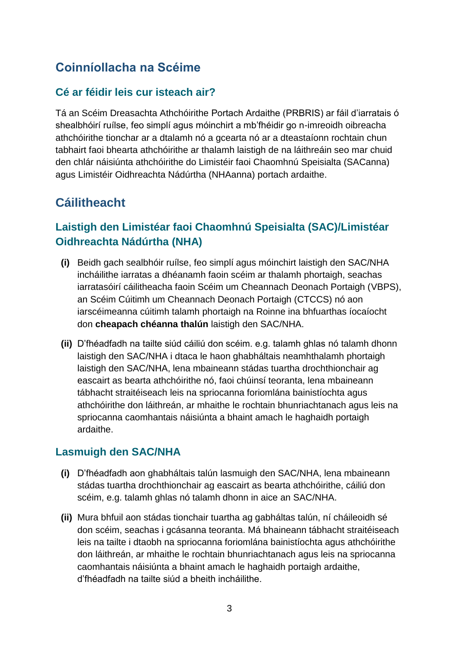# <span id="page-6-0"></span>**Coinníollacha na Scéime**

#### <span id="page-6-1"></span>**Cé ar féidir leis cur isteach air?**

Tá an Scéim Dreasachta Athchóirithe Portach Ardaithe (PRBRIS) ar fáil d'iarratais ó shealbhóirí ruílse, feo simplí agus móinchirt a mb'fhéidir go n-imreoidh oibreacha athchóirithe tionchar ar a dtalamh nó a gcearta nó ar a dteastaíonn rochtain chun tabhairt faoi bhearta athchóirithe ar thalamh laistigh de na láithreáin seo mar chuid den chlár náisiúnta athchóirithe do Limistéir faoi Chaomhnú Speisialta (SACanna) agus Limistéir Oidhreachta Nádúrtha (NHAanna) portach ardaithe.

# <span id="page-6-2"></span>**Cáilitheacht**

### <span id="page-6-3"></span>**Laistigh den Limistéar faoi Chaomhnú Speisialta (SAC)/Limistéar Oidhreachta Nádúrtha (NHA)**

- **(i)** Beidh gach sealbhóir ruílse, feo simplí agus móinchirt laistigh den SAC/NHA incháilithe iarratas a dhéanamh faoin scéim ar thalamh phortaigh, seachas iarratasóirí cáilitheacha faoin Scéim um Cheannach Deonach Portaigh (VBPS), an Scéim Cúitimh um Cheannach Deonach Portaigh (CTCCS) nó aon iarscéimeanna cúitimh talamh phortaigh na Roinne ina bhfuarthas íocaíocht don **cheapach chéanna thalún** laistigh den SAC/NHA.
- **(ii)** D'fhéadfadh na tailte siúd cáiliú don scéim. e.g. talamh ghlas nó talamh dhonn laistigh den SAC/NHA i dtaca le haon ghabháltais neamhthalamh phortaigh laistigh den SAC/NHA, lena mbaineann stádas tuartha drochthionchair ag eascairt as bearta athchóirithe nó, faoi chúinsí teoranta, lena mbaineann tábhacht straitéiseach leis na spriocanna foriomlána bainistíochta agus athchóirithe don láithreán, ar mhaithe le rochtain bhunriachtanach agus leis na spriocanna caomhantais náisiúnta a bhaint amach le haghaidh portaigh ardaithe.

#### <span id="page-6-4"></span>**Lasmuigh den SAC/NHA**

- **(i)** D'fhéadfadh aon ghabháltais talún lasmuigh den SAC/NHA, lena mbaineann stádas tuartha drochthionchair ag eascairt as bearta athchóirithe, cáiliú don scéim, e.g. talamh ghlas nó talamh dhonn in aice an SAC/NHA.
- **(ii)** Mura bhfuil aon stádas tionchair tuartha ag gabháltas talún, ní cháileoidh sé don scéim, seachas i gcásanna teoranta. Má bhaineann tábhacht straitéiseach leis na tailte i dtaobh na spriocanna foriomlána bainistíochta agus athchóirithe don láithreán, ar mhaithe le rochtain bhunriachtanach agus leis na spriocanna caomhantais náisiúnta a bhaint amach le haghaidh portaigh ardaithe, d'fhéadfadh na tailte siúd a bheith incháilithe.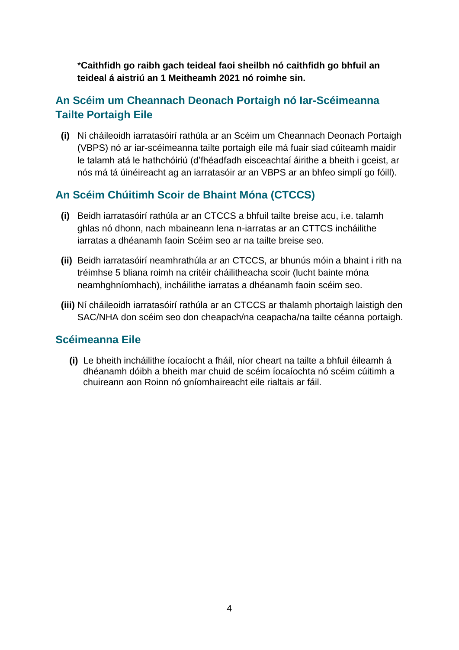\***Caithfidh go raibh gach teideal faoi sheilbh nó caithfidh go bhfuil an teideal á aistriú an 1 Meitheamh 2021 nó roimhe sin.**

### <span id="page-7-0"></span>**An Scéim um Cheannach Deonach Portaigh nó Iar-Scéimeanna Tailte Portaigh Eile**

**(i)** Ní cháileoidh iarratasóirí rathúla ar an Scéim um Cheannach Deonach Portaigh (VBPS) nó ar iar-scéimeanna tailte portaigh eile má fuair siad cúiteamh maidir le talamh atá le hathchóiriú (d'fhéadfadh eisceachtaí áirithe a bheith i gceist, ar nós má tá úinéireacht ag an iarratasóir ar an VBPS ar an bhfeo simplí go fóill).

#### <span id="page-7-1"></span>**An Scéim Chúitimh Scoir de Bhaint Móna (CTCCS)**

- **(i)** Beidh iarratasóirí rathúla ar an CTCCS a bhfuil tailte breise acu, i.e. talamh ghlas nó dhonn, nach mbaineann lena n-iarratas ar an CTTCS incháilithe iarratas a dhéanamh faoin Scéim seo ar na tailte breise seo.
- **(ii)** Beidh iarratasóirí neamhrathúla ar an CTCCS, ar bhunús móin a bhaint i rith na tréimhse 5 bliana roimh na critéir cháilitheacha scoir (lucht bainte móna neamhghníomhach), incháilithe iarratas a dhéanamh faoin scéim seo.
- **(iii)** Ní cháileoidh iarratasóirí rathúla ar an CTCCS ar thalamh phortaigh laistigh den SAC/NHA don scéim seo don cheapach/na ceapacha/na tailte céanna portaigh.

#### <span id="page-7-2"></span>**Scéimeanna Eile**

**(i)** Le bheith incháilithe íocaíocht a fháil, níor cheart na tailte a bhfuil éileamh á dhéanamh dóibh a bheith mar chuid de scéim íocaíochta nó scéim cúitimh a chuireann aon Roinn nó gníomhaireacht eile rialtais ar fáil.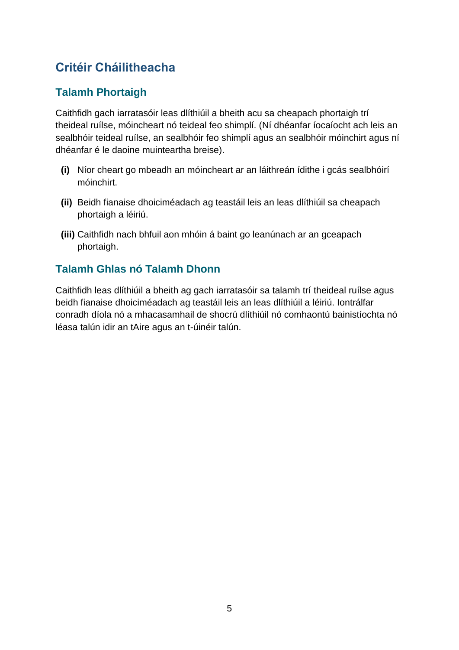# <span id="page-8-0"></span>**Critéir Cháilitheacha**

### <span id="page-8-1"></span>**Talamh Phortaigh**

Caithfidh gach iarratasóir leas dlíthiúil a bheith acu sa cheapach phortaigh trí theideal ruílse, móincheart nó teideal feo shimplí. (Ní dhéanfar íocaíocht ach leis an sealbhóir teideal ruílse, an sealbhóir feo shimplí agus an sealbhóir móinchirt agus ní dhéanfar é le daoine muinteartha breise).

- **(i)** Níor cheart go mbeadh an móincheart ar an láithreán ídithe i gcás sealbhóirí móinchirt.
- **(ii)** Beidh fianaise dhoiciméadach ag teastáil leis an leas dlíthiúil sa cheapach phortaigh a léiriú.
- **(iii)** Caithfidh nach bhfuil aon mhóin á baint go leanúnach ar an gceapach phortaigh.

### <span id="page-8-2"></span>**Talamh Ghlas nó Talamh Dhonn**

Caithfidh leas dlíthiúil a bheith ag gach iarratasóir sa talamh trí theideal ruílse agus beidh fianaise dhoiciméadach ag teastáil leis an leas dlíthiúil a léiriú. Iontrálfar conradh díola nó a mhacasamhail de shocrú dlíthiúil nó comhaontú bainistíochta nó léasa talún idir an tAire agus an t-úinéir talún.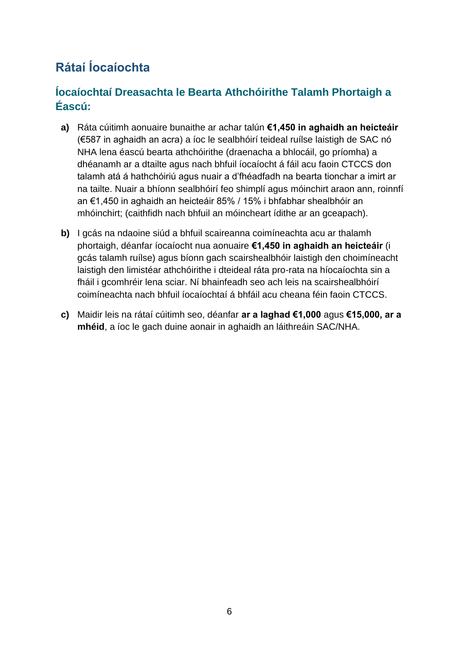# <span id="page-9-0"></span>**Rátaí Íocaíochta**

### <span id="page-9-1"></span>**Íocaíochtaí Dreasachta le Bearta Athchóirithe Talamh Phortaigh a Éascú:**

- **a)** Ráta cúitimh aonuaire bunaithe ar achar talún **€1,450 in aghaidh an heicteáir** (€587 in aghaidh an acra) a íoc le sealbhóirí teideal ruílse laistigh de SAC nó NHA lena éascú bearta athchóirithe (draenacha a bhlocáil, go príomha) a dhéanamh ar a dtailte agus nach bhfuil íocaíocht á fáil acu faoin CTCCS don talamh atá á hathchóiriú agus nuair a d'fhéadfadh na bearta tionchar a imirt ar na tailte. Nuair a bhíonn sealbhóirí feo shimplí agus móinchirt araon ann, roinnfí an €1,450 in aghaidh an heicteáir 85% / 15% i bhfabhar shealbhóir an mhóinchirt; (caithfidh nach bhfuil an móincheart ídithe ar an gceapach).
- **b)** I gcás na ndaoine siúd a bhfuil scaireanna coimíneachta acu ar thalamh phortaigh, déanfar íocaíocht nua aonuaire **€1,450 in aghaidh an heicteáir** (i gcás talamh ruílse) agus bíonn gach scairshealbhóir laistigh den choimíneacht laistigh den limistéar athchóirithe i dteideal ráta pro-rata na híocaíochta sin a fháil i gcomhréir lena sciar. Ní bhainfeadh seo ach leis na scairshealbhóirí coimíneachta nach bhfuil íocaíochtaí á bhfáil acu cheana féin faoin CTCCS.
- **c)** Maidir leis na rátaí cúitimh seo, déanfar **ar a laghad €1,000** agus **€15,000, ar a mhéid**, a íoc le gach duine aonair in aghaidh an láithreáin SAC/NHA.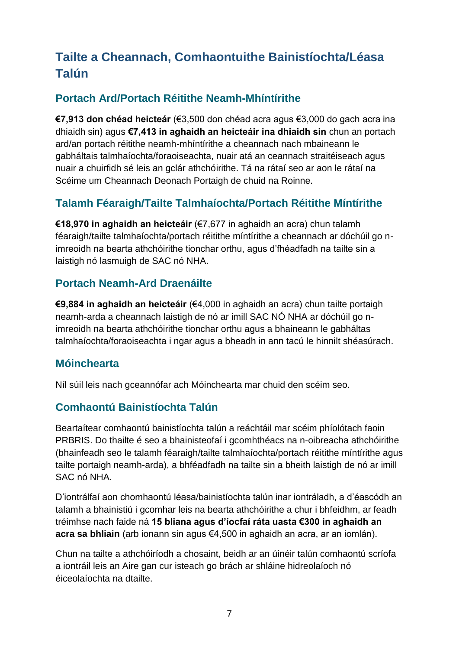# <span id="page-10-0"></span>**Tailte a Cheannach, Comhaontuithe Bainistíochta/Léasa Talún**

### <span id="page-10-1"></span>**Portach Ard/Portach Réitithe Neamh-Mhíntírithe**

**€7,913 don chéad heicteár** (€3,500 don chéad acra agus €3,000 do gach acra ina dhiaidh sin) agus **€7,413 in aghaidh an heicteáir ina dhiaidh sin** chun an portach ard/an portach réitithe neamh-mhíntírithe a cheannach nach mbaineann le gabháltais talmhaíochta/foraoiseachta, nuair atá an ceannach straitéiseach agus nuair a chuirfidh sé leis an gclár athchóirithe. Tá na rátaí seo ar aon le rátaí na Scéime um Cheannach Deonach Portaigh de chuid na Roinne.

### <span id="page-10-2"></span>**Talamh Féaraigh/Tailte Talmhaíochta/Portach Réitithe Míntírithe**

**€18,970 in aghaidh an heicteáir** (€7,677 in aghaidh an acra) chun talamh féaraigh/tailte talmhaíochta/portach réitithe míntírithe a cheannach ar dóchúil go nimreoidh na bearta athchóirithe tionchar orthu, agus d'fhéadfadh na tailte sin a laistigh nó lasmuigh de SAC nó NHA.

#### <span id="page-10-3"></span>**Portach Neamh-Ard Draenáilte**

**€9,884 in aghaidh an heicteáir** (€4,000 in aghaidh an acra) chun tailte portaigh neamh-arda a cheannach laistigh de nó ar imill SAC NÓ NHA ar dóchúil go nimreoidh na bearta athchóirithe tionchar orthu agus a bhaineann le gabháltas talmhaíochta/foraoiseachta i ngar agus a bheadh in ann tacú le hinnilt shéasúrach.

#### <span id="page-10-4"></span>**Móinchearta**

Níl súil leis nach gceannófar ach Móinchearta mar chuid den scéim seo.

#### <span id="page-10-5"></span>**Comhaontú Bainistíochta Talún**

Beartaítear comhaontú bainistíochta talún a reáchtáil mar scéim phíolótach faoin PRBRIS. Do thailte é seo a bhainisteofaí i gcomhthéacs na n-oibreacha athchóirithe (bhainfeadh seo le talamh féaraigh/tailte talmhaíochta/portach réitithe míntírithe agus tailte portaigh neamh-arda), a bhféadfadh na tailte sin a bheith laistigh de nó ar imill SAC nó NHA.

D'iontrálfaí aon chomhaontú léasa/bainistíochta talún inar iontráladh, a d'éascódh an talamh a bhainistiú i gcomhar leis na bearta athchóirithe a chur i bhfeidhm, ar feadh tréimhse nach faide ná **15 bliana agus d'íocfaí ráta uasta €300 in aghaidh an acra sa bhliain** (arb ionann sin agus €4,500 in aghaidh an acra, ar an iomlán).

Chun na tailte a athchóiríodh a chosaint, beidh ar an úinéir talún comhaontú scríofa a iontráil leis an Aire gan cur isteach go brách ar shláine hidreolaíoch nó éiceolaíochta na dtailte.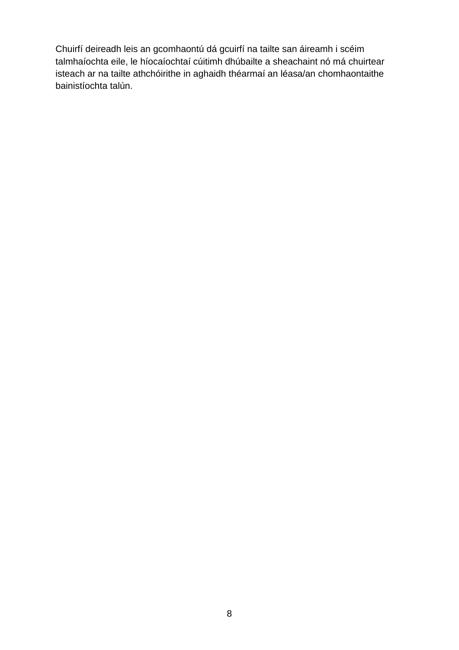Chuirfí deireadh leis an gcomhaontú dá gcuirfí na tailte san áireamh i scéim talmhaíochta eile, le híocaíochtaí cúitimh dhúbailte a sheachaint nó má chuirtear isteach ar na tailte athchóirithe in aghaidh théarmaí an léasa/an chomhaontaithe bainistíochta talún.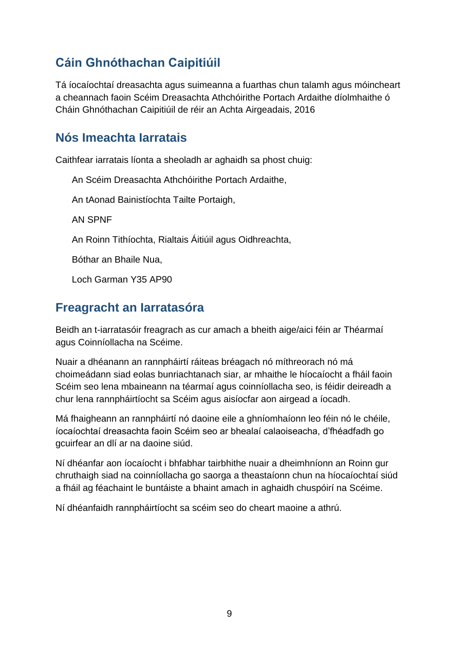# <span id="page-12-0"></span>**Cáin Ghnóthachan Caipitiúil**

Tá íocaíochtaí dreasachta agus suimeanna a fuarthas chun talamh agus móincheart a cheannach faoin Scéim Dreasachta Athchóirithe Portach Ardaithe díolmhaithe ó Cháin Ghnóthachan Caipitiúil de réir an Achta Airgeadais, 2016

### <span id="page-12-1"></span>**Nós Imeachta Iarratais**

Caithfear iarratais líonta a sheoladh ar aghaidh sa phost chuig:

An Scéim Dreasachta Athchóirithe Portach Ardaithe,

An tAonad Bainistíochta Tailte Portaigh,

AN SPNF

An Roinn Tithíochta, Rialtais Áitiúil agus Oidhreachta,

Bóthar an Bhaile Nua,

Loch Garman Y35 AP90

# <span id="page-12-2"></span>**Freagracht an Iarratasóra**

Beidh an t-iarratasóir freagrach as cur amach a bheith aige/aici féin ar Théarmaí agus Coinníollacha na Scéime.

Nuair a dhéanann an rannpháirtí ráiteas bréagach nó míthreorach nó má choimeádann siad eolas bunriachtanach siar, ar mhaithe le híocaíocht a fháil faoin Scéim seo lena mbaineann na téarmaí agus coinníollacha seo, is féidir deireadh a chur lena rannpháirtíocht sa Scéim agus aisíocfar aon airgead a íocadh.

Má fhaigheann an rannpháirtí nó daoine eile a ghníomhaíonn leo féin nó le chéile, íocaíochtaí dreasachta faoin Scéim seo ar bhealaí calaoiseacha, d'fhéadfadh go gcuirfear an dlí ar na daoine siúd.

Ní dhéanfar aon íocaíocht i bhfabhar tairbhithe nuair a dheimhníonn an Roinn gur chruthaigh siad na coinníollacha go saorga a theastaíonn chun na híocaíochtaí siúd a fháil ag féachaint le buntáiste a bhaint amach in aghaidh chuspóirí na Scéime.

Ní dhéanfaidh rannpháirtíocht sa scéim seo do cheart maoine a athrú.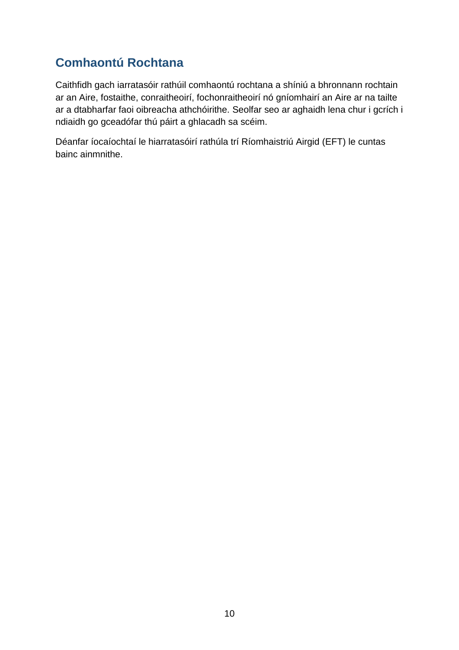# <span id="page-13-0"></span>**Comhaontú Rochtana**

Caithfidh gach iarratasóir rathúil comhaontú rochtana a shíniú a bhronnann rochtain ar an Aire, fostaithe, conraitheoirí, fochonraitheoirí nó gníomhairí an Aire ar na tailte ar a dtabharfar faoi oibreacha athchóirithe. Seolfar seo ar aghaidh lena chur i gcrích i ndiaidh go gceadófar thú páirt a ghlacadh sa scéim.

Déanfar íocaíochtaí le hiarratasóirí rathúla trí Ríomhaistriú Airgid (EFT) le cuntas bainc ainmnithe.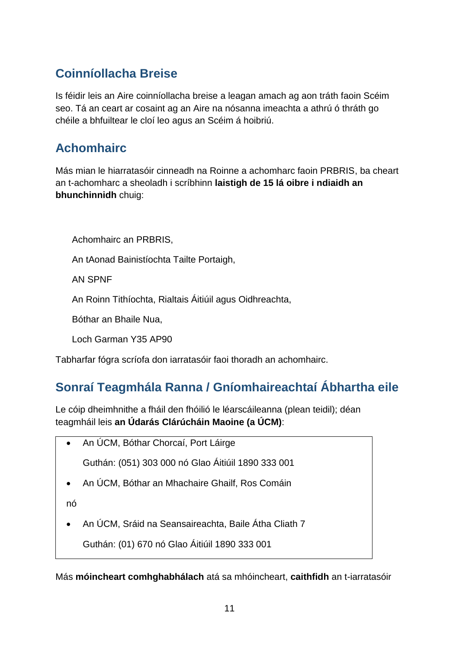# <span id="page-14-0"></span>**Coinníollacha Breise**

Is féidir leis an Aire coinníollacha breise a leagan amach ag aon tráth faoin Scéim seo. Tá an ceart ar cosaint ag an Aire na nósanna imeachta a athrú ó thráth go chéile a bhfuiltear le cloí leo agus an Scéim á hoibriú.

# <span id="page-14-1"></span>**Achomhairc**

Más mian le hiarratasóir cinneadh na Roinne a achomharc faoin PRBRIS, ba cheart an t-achomharc a sheoladh i scríbhinn **laistigh de 15 lá oibre i ndiaidh an bhunchinnidh** chuig:

Achomhairc an PRBRIS,

An tAonad Bainistíochta Tailte Portaigh,

AN SPNF

An Roinn Tithíochta, Rialtais Áitiúil agus Oidhreachta,

Bóthar an Bhaile Nua,

Loch Garman Y35 AP90

Tabharfar fógra scríofa don iarratasóir faoi thoradh an achomhairc.

# <span id="page-14-2"></span>**Sonraí Teagmhála Ranna / Gníomhaireachtaí Ábhartha eile**

Le cóip dheimhnithe a fháil den fhóilió le léarscáileanna (plean teidil); déan teagmháil leis **an Údarás Clárúcháin Maoine (a ÚCM)**:

An ÚCM, Bóthar Chorcaí, Port Láirge

Guthán: (051) 303 000 nó Glao Áitiúil 1890 333 001

An ÚCM, Bóthar an Mhachaire Ghailf, Ros Comáin

nó

An ÚCM, Sráid na Seansaireachta, Baile Átha Cliath 7

Guthán: (01) 670 nó Glao Áitiúil 1890 333 001

Más **móincheart comhghabhálach** atá sa mhóincheart, **caithfidh** an t-iarratasóir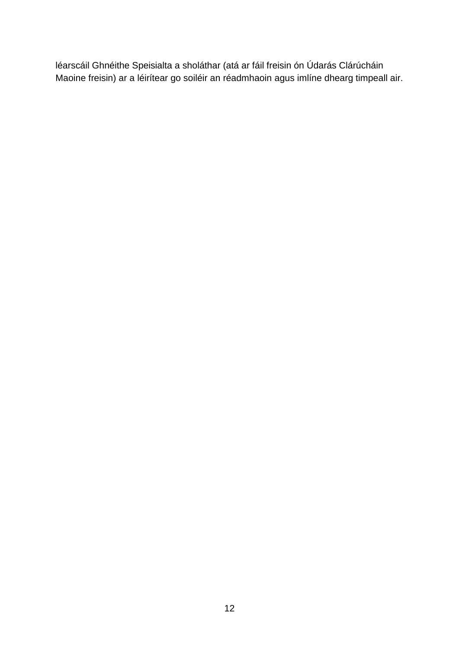léarscáil Ghnéithe Speisialta a sholáthar (atá ar fáil freisin ón Údarás Clárúcháin Maoine freisin) ar a léirítear go soiléir an réadmhaoin agus imlíne dhearg timpeall air.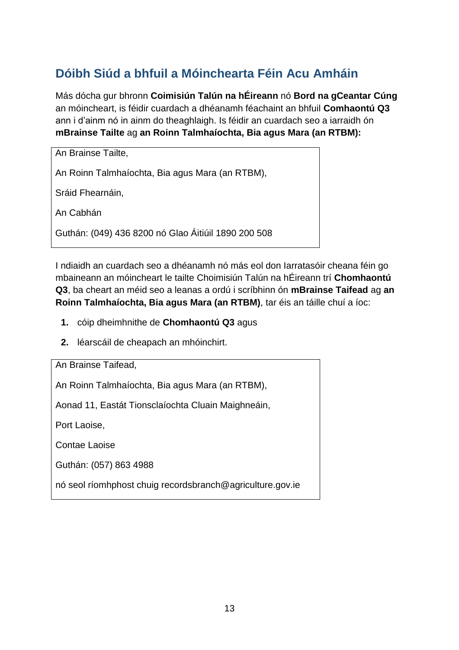# <span id="page-16-0"></span>**Dóibh Siúd a bhfuil a Móinchearta Féin Acu Amháin**

Más dócha gur bhronn **Coimisiún Talún na hÉireann** nó **Bord na gCeantar Cúng** an móincheart, is féidir cuardach a dhéanamh féachaint an bhfuil **Comhaontú Q3**  ann i d'ainm nó in ainm do theaghlaigh. Is féidir an cuardach seo a iarraidh ón **mBrainse Tailte** ag **an Roinn Talmhaíochta, Bia agus Mara (an RTBM):**

| An Brainse Tailte,                                  |
|-----------------------------------------------------|
| An Roinn Talmhaíochta, Bia agus Mara (an RTBM),     |
| Sráid Fhearnáin,                                    |
| An Cabhán                                           |
| Guthán: (049) 436 8200 nó Glao Áitiúil 1890 200 508 |

I ndiaidh an cuardach seo a dhéanamh nó más eol don Iarratasóir cheana féin go mbaineann an móincheart le tailte Choimisiún Talún na hÉireann trí **Chomhaontú Q3**, ba cheart an méid seo a leanas a ordú i scríbhinn ón **mBrainse Taifead** ag **an Roinn Talmhaíochta, Bia agus Mara (an RTBM)**, tar éis an táille chuí a íoc:

- **1.** cóip dheimhnithe de **Chomhaontú Q3** agus
- **2.** léarscáil de cheapach an mhóinchirt.

An Brainse Taifead,

An Roinn Talmhaíochta, Bia agus Mara (an RTBM),

Aonad 11, Eastát Tionsclaíochta Cluain Maighneáin,

Port Laoise,

Contae Laoise

Guthán: (057) 863 4988

nó seol ríomhphost chuig recordsbranch@agriculture.gov.ie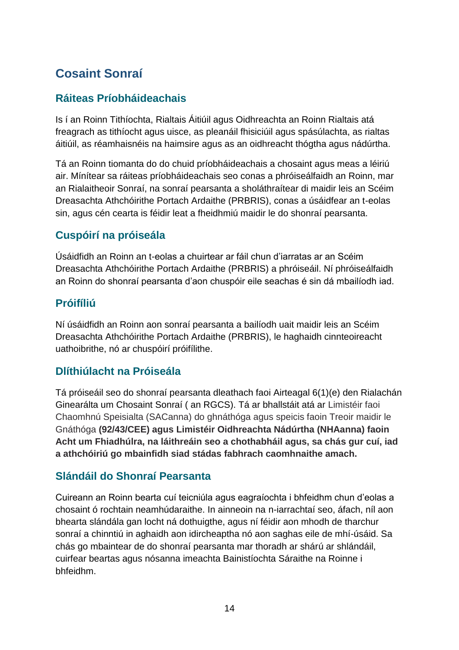# <span id="page-17-0"></span>**Cosaint Sonraí**

### <span id="page-17-1"></span>**Ráiteas Príobháideachais**

Is í an Roinn Tithíochta, Rialtais Áitiúil agus Oidhreachta an Roinn Rialtais atá freagrach as tithíocht agus uisce, as pleanáil fhisiciúil agus spásúlachta, as rialtas áitiúil, as réamhaisnéis na haimsire agus as an oidhreacht thógtha agus nádúrtha.

Tá an Roinn tiomanta do do chuid príobháideachais a chosaint agus meas a léiriú air. Mínítear sa ráiteas príobháideachais seo conas a phróiseálfaidh an Roinn, mar an Rialaitheoir Sonraí, na sonraí pearsanta a sholáthraítear di maidir leis an Scéim Dreasachta Athchóirithe Portach Ardaithe (PRBRIS), conas a úsáidfear an t-eolas sin, agus cén cearta is féidir leat a fheidhmiú maidir le do shonraí pearsanta.

### <span id="page-17-2"></span>**Cuspóirí na próiseála**

Úsáidfidh an Roinn an t-eolas a chuirtear ar fáil chun d'iarratas ar an Scéim Dreasachta Athchóirithe Portach Ardaithe (PRBRIS) a phróiseáil. Ní phróiseálfaidh an Roinn do shonraí pearsanta d'aon chuspóir eile seachas é sin dá mbailíodh iad.

### <span id="page-17-3"></span>**Próifíliú**

Ní úsáidfidh an Roinn aon sonraí pearsanta a bailíodh uait maidir leis an Scéim Dreasachta Athchóirithe Portach Ardaithe (PRBRIS), le haghaidh cinnteoireacht uathoibrithe, nó ar chuspóirí próifílithe.

### <span id="page-17-4"></span>**Dlíthiúlacht na Próiseála**

Tá próiseáil seo do shonraí pearsanta dleathach faoi Airteagal 6(1)(e) den Rialachán Ginearálta um Chosaint Sonraí ( an RGCS). Tá ar bhallstáit atá ar Limistéir faoi Chaomhnú Speisialta (SACanna) do ghnáthóga agus speicis faoin Treoir maidir le Gnáthóga **(92/43/CEE) agus Limistéir Oidhreachta Nádúrtha (NHAanna) faoin Acht um Fhiadhúlra, na láithreáin seo a chothabháil agus, sa chás gur cuí, iad a athchóiriú go mbainfidh siad stádas fabhrach caomhnaithe amach.**

### <span id="page-17-5"></span>**Slándáil do Shonraí Pearsanta**

Cuireann an Roinn bearta cuí teicniúla agus eagraíochta i bhfeidhm chun d'eolas a chosaint ó rochtain neamhúdaraithe. In ainneoin na n-iarrachtaí seo, áfach, níl aon bhearta slándála gan locht ná dothuigthe, agus ní féidir aon mhodh de tharchur sonraí a chinntiú in aghaidh aon idircheaptha nó aon saghas eile de mhí-úsáid. Sa chás go mbaintear de do shonraí pearsanta mar thoradh ar shárú ar shlándáil, cuirfear beartas agus nósanna imeachta Bainistíochta Sáraithe na Roinne i bhfeidhm.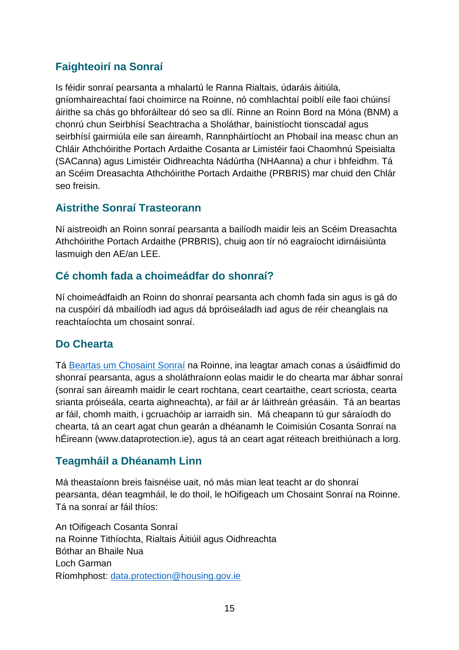### <span id="page-18-0"></span>**Faighteoirí na Sonraí**

Is féidir sonraí pearsanta a mhalartú le Ranna Rialtais, údaráis áitiúla, gníomhaireachtaí faoi choimirce na Roinne, nó comhlachtaí poiblí eile faoi chúinsí áirithe sa chás go bhforáiltear dó seo sa dlí. Rinne an Roinn Bord na Móna (BNM) a chonrú chun Seirbhísí Seachtracha a Sholáthar, bainistíocht tionscadal agus seirbhísí gairmiúla eile san áireamh, Rannpháirtíocht an Phobail ina measc chun an Chláir Athchóirithe Portach Ardaithe Cosanta ar Limistéir faoi Chaomhnú Speisialta (SACanna) agus Limistéir Oidhreachta Nádúrtha (NHAanna) a chur i bhfeidhm. Tá an Scéim Dreasachta Athchóirithe Portach Ardaithe (PRBRIS) mar chuid den Chlár seo freisin.

#### <span id="page-18-1"></span>**Aistrithe Sonraí Trasteorann**

Ní aistreoidh an Roinn sonraí pearsanta a bailíodh maidir leis an Scéim Dreasachta Athchóirithe Portach Ardaithe (PRBRIS), chuig aon tír nó eagraíocht idirnáisiúnta lasmuigh den AE/an LEE.

### <span id="page-18-2"></span>**Cé chomh fada a choimeádfar do shonraí?**

Ní choimeádfaidh an Roinn do shonraí pearsanta ach chomh fada sin agus is gá do na cuspóirí dá mbailíodh iad agus dá bpróiseáladh iad agus de réir cheanglais na reachtaíochta um chosaint sonraí.

### <span id="page-18-3"></span>**Do Chearta**

Tá [Beartas um Chosaint Sonraí](https://www.housing.gov.ie/sites/default/files/publications/files/data-protection-policy.pdf) na Roinne, ina leagtar amach conas a úsáidfimid do shonraí pearsanta, agus a sholáthraíonn eolas maidir le do chearta mar ábhar sonraí (sonraí san áireamh maidir le ceart rochtana, ceart ceartaithe, ceart scriosta, cearta srianta próiseála, cearta aighneachta), ar fáil ar ár láithreán gréasáin. Tá an beartas ar fáil, chomh maith, i gcruachóip ar iarraidh sin. Má cheapann tú gur sáraíodh do chearta, tá an ceart agat chun gearán a dhéanamh le Coimisiún Cosanta Sonraí na hÉireann (www.dataprotection.ie), agus tá an ceart agat réiteach breithiúnach a lorg.

### <span id="page-18-4"></span>**Teagmháil a Dhéanamh Linn**

Má theastaíonn breis faisnéise uait, nó más mian leat teacht ar do shonraí pearsanta, déan teagmháil, le do thoil, le hOifigeach um Chosaint Sonraí na Roinne. Tá na sonraí ar fáil thíos:

An tOifigeach Cosanta Sonraí na Roinne Tithíochta, Rialtais Áitiúil agus Oidhreachta Bóthar an Bhaile Nua Loch Garman Ríomhphost: [data.protection@housing.gov.ie](mailto:data.protection@housing.gov.ie)